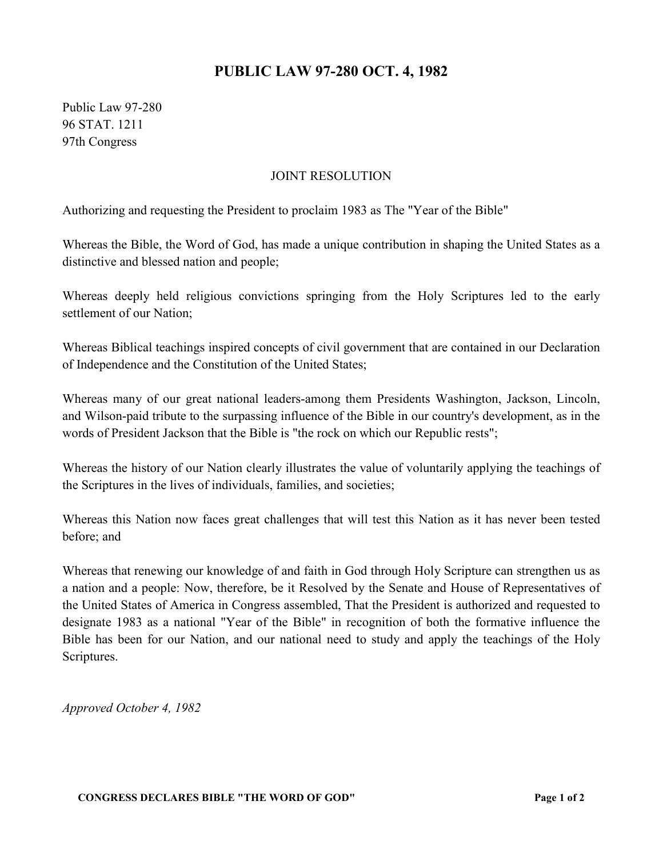## **PUBLIC LAW 97-280 OCT. 4, 1982**

Public Law 97-280 96 STAT. 1211 97th Congress

## JOINT RESOLUTION

Authorizing and requesting the President to proclaim 1983 as The "Year of the Bible"

Whereas the Bible, the Word of God, has made a unique contribution in shaping the United States as a distinctive and blessed nation and people;

Whereas deeply held religious convictions springing from the Holy Scriptures led to the early settlement of our Nation;

Whereas Biblical teachings inspired concepts of civil government that are contained in our Declaration of Independence and the Constitution of the United States;

Whereas many of our great national leaders-among them Presidents Washington, Jackson, Lincoln, and Wilson-paid tribute to the surpassing influence of the Bible in our country's development, as in the words of President Jackson that the Bible is "the rock on which our Republic rests";

Whereas the history of our Nation clearly illustrates the value of voluntarily applying the teachings of the Scriptures in the lives of individuals, families, and societies;

Whereas this Nation now faces great challenges that will test this Nation as it has never been tested before; and

Whereas that renewing our knowledge of and faith in God through Holy Scripture can strengthen us as a nation and a people: Now, therefore, be it Resolved by the Senate and House of Representatives of the United States of America in Congress assembled, That the President is authorized and requested to designate 1983 as a national "Year of the Bible" in recognition of both the formative influence the Bible has been for our Nation, and our national need to study and apply the teachings of the Holy Scriptures.

*Approved October 4, 1982*